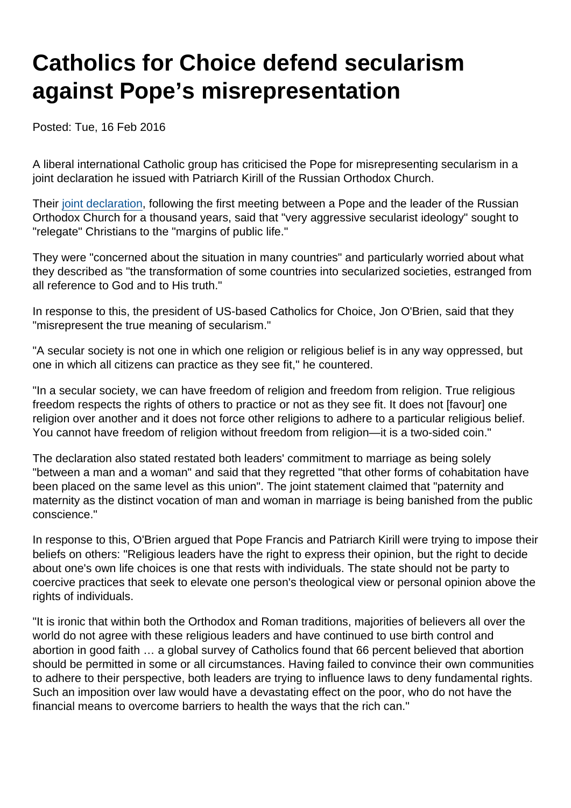## Catholics for Choice defend secularism against Pope's misrepresentation

Posted: Tue, 16 Feb 2016

A liberal international Catholic group has criticised the Pope for misrepresenting secularism in a joint declaration he issued with Patriarch Kirill of the Russian Orthodox Church.

Their [joint declaration,](http://www.thetablet.co.uk/texts-speeches-homilies/4/903/0/pope-francis-and-patriarch-kirill-joint-declaration) following the first meeting between a Pope and the leader of the Russian Orthodox Church for a thousand years, said that "very aggressive secularist ideology" sought to "relegate" Christians to the "margins of public life."

They were "concerned about the situation in many countries" and particularly worried about what they described as "the transformation of some countries into secularized societies, estranged from all reference to God and to His truth."

In response to this, the president of US-based Catholics for Choice, Jon O'Brien, said that they "misrepresent the true meaning of secularism."

"A secular society is not one in which one religion or religious belief is in any way oppressed, but one in which all citizens can practice as they see fit," he countered.

"In a secular society, we can have freedom of religion and freedom from religion. True religious freedom respects the rights of others to practice or not as they see fit. It does not [favour] one religion over another and it does not force other religions to adhere to a particular religious belief. You cannot have freedom of religion without freedom from religion—it is a two-sided coin."

The declaration also stated restated both leaders' commitment to marriage as being solely "between a man and a woman" and said that they regretted "that other forms of cohabitation have been placed on the same level as this union". The joint statement claimed that "paternity and maternity as the distinct vocation of man and woman in marriage is being banished from the public conscience."

In response to this, O'Brien argued that Pope Francis and Patriarch Kirill were trying to impose their beliefs on others: "Religious leaders have the right to express their opinion, but the right to decide about one's own life choices is one that rests with individuals. The state should not be party to coercive practices that seek to elevate one person's theological view or personal opinion above the rights of individuals.

"It is ironic that within both the Orthodox and Roman traditions, majorities of believers all over the world do not agree with these religious leaders and have continued to use birth control and abortion in good faith … a global survey of Catholics found that 66 percent believed that abortion should be permitted in some or all circumstances. Having failed to convince their own communities to adhere to their perspective, both leaders are trying to influence laws to deny fundamental rights. Such an imposition over law would have a devastating effect on the poor, who do not have the financial means to overcome barriers to health the ways that the rich can."